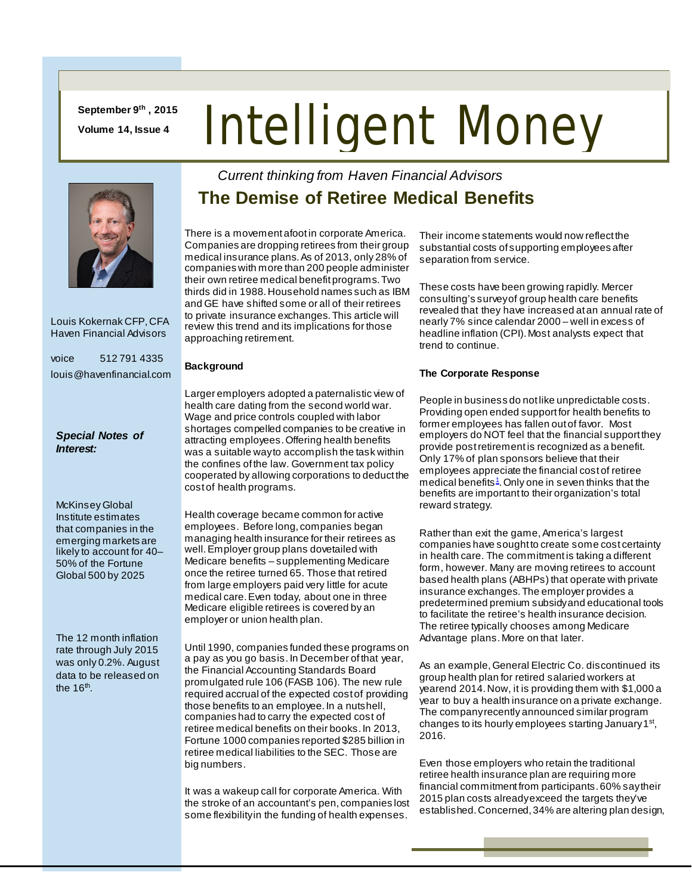**September 9th , 2015 Volume 14, Issue 4**

# Intelligent Money



 Louis Kokernak CFP, CFA Haven Financial Advisors

voice 512 791 4335 louis@havenfinancial.com

#### *Special Notes of Interest:*

McKinsey Global Institute estimates that [companies in the](http://www.mckinsey.com/insights/urbanization/urban_world_the_shifting_global_business_landscape)  [emerging markets are](http://www.mckinsey.com/insights/urbanization/urban_world_the_shifting_global_business_landscape)  [likely to account for 40–](http://www.mckinsey.com/insights/urbanization/urban_world_the_shifting_global_business_landscape) [50% of the Fortune](http://www.mckinsey.com/insights/urbanization/urban_world_the_shifting_global_business_landscape)  [Global 500 by 2025](http://www.mckinsey.com/insights/urbanization/urban_world_the_shifting_global_business_landscape)

The 12 month inflation rate through July 2015 was only 0.2%. August data to be released on the  $16<sup>th</sup>$ .

## *Current thinking from Haven Financial Advisors*  **The Demise of Retiree Medical Benefits**

There is a movement afoot in corporate America. Companies are dropping retirees from their group medical insurance plans. As of 2013, only 28% of companies with more than 200 people administer their own retiree medical benefit programs. Two thirds did in 1988. Household names such as IBM and GE have shifted some or all of their retirees to private insurance exchanges. This article will review this trend and its implications for those approaching retirement.

#### **Background**

Larger employers adopted a paternalistic view of health care dating from the second world war. Wage and price controls coupled with labor shortages compelled companies to be creative in attracting employees. Offering health benefits was a suitable way to accomplish the task within the confines of the law. Government tax policy cooperated by allowing corporations to deduct the cost of health programs.

Health coverage became common for active employees. Before long, companies began managing health insurance for their retirees as well. Employer group plans dovetailed with Medicare benefits – supplementing Medicare once the retiree turned 65. Those that retired from large employers paid very little for acute medical care. Even today, about one in three Medicare eligible retirees is covered by an employer or union health plan.

Until 1990, companies funded these programs on a pay as you go basis. In December of that year, the Financial Accounting Standards Board promulgated rule 106 (FASB 106). The new rule required accrual of the expected cost of providing those benefits to an employee. In a nutshell, companies had to carry the expected cost of retiree medical benefits on their books. In 2013, Fortune 1000 companies reported \$285 billion in retiree medical liabilities to the SEC. Those are big numbers.

It was a wakeup call for corporate America. With the stroke of an accountant's pen, companies lost some flexibility in the funding of health expenses.

Their income statements would now reflect the substantial costs of supporting employees after separation from service.

These costs have been growing rapidly. Mercer consulting's survey of group health care benefits revealed that they have increased at an annual rate of nearly 7% since calendar 2000 – well in excess of headline inflation (CPI). Most analysts expect that trend to continue.

### **The Corporate Response**

People in business do not like unpredictable costs. Providing open ended support for health benefits to former employees has fallen out of favor. Most employers do NOT feel that the financial support they provide post retirement is recognized as a benefit. Only 17% of plan sponsors believe that their employees appreciate the financial cost of retiree medical benefits<sup>1</sup>. Only one in seven thinks that the benefits are important to their organization's total reward strategy.

Rather than exit the game, America's largest companies have sought to create some cost certainty in health care. The commitment is taking a different form, however. Many are moving retirees to account based health plans (ABHPs) that operate with private insurance exchanges.The employer provides a predetermined premium subsidy and educational tools to facilitate the retiree's health insurance decision. The retiree typically chooses among Medicare Advantage plans. More on that later.

As an example, General Electric Co. discontinued its group health plan for retired salaried workers at yearend 2014. Now, it is providing them with \$1,000 a year to buy a health insurance on a private exchange. The company recently announced similar program changes to its hourly employees starting January 1<sup>st</sup>, 2016.

Even those employers who retain the traditional retiree health insurance plan are requiring more financial commitment from participants. 60% say their 2015 plan costs already exceed the targets they've established.Concerned, 34% are altering plan design,